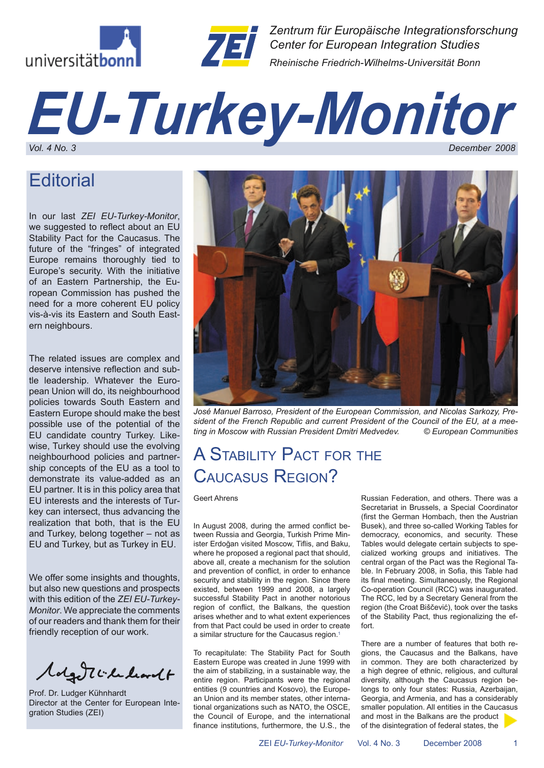



*Zentrum für Europäische Integrationsforschung Center for European Integration Studies Rheinische Friedrich-Wilhelms-Universität Bonn*

# *EU-Turkey-Monitor* December 2008

### **Editorial**

In our last *ZEI EU-Turkey-Monitor*, we suggested to reflect about an EU Stability Pact for the Caucasus. The future of the "fringes" of integrated Europe remains thoroughly tied to Europe's security. With the initiative of an Eastern Partnership, the European Commission has pushed the need for a more coherent EU policy vis-à-vis its Eastern and South Eastern neighbours.

The related issues are complex and deserve intensive reflection and subtle leadership. Whatever the European Union will do, its neighbourhood policies towards South Eastern and Eastern Europe should make the best possible use of the potential of the EU candidate country Turkey. Likewise, Turkey should use the evolving neighbourhood policies and partnership concepts of the EU as a tool to demonstrate its value-added as an EU partner. It is in this policy area that EU interests and the interests of Turkey can intersect, thus advancing the realization that both, that is the EU and Turkey, belong together – not as EU and Turkey, but as Turkey in EU.

We offer some insights and thoughts, but also new questions and prospects with this edition of the *ZEI EU-Turkey-Monitor*. We appreciate the comments of our readers and thank them for their friendly reception of our work.

Molgott Chalcordt

Prof. Dr. Ludger Kühnhardt Director at the Center for European Integration Studies (ZEI)



*José Manuel Barroso, President of the European Commission, and Nicolas Sarkozy, President of the French Republic and current President of the Council of the EU, at a meeting in Moscow with Russian President Dmitri Medvedev. © European Communities*

### A STABILITY PACT FOR THE Caucasus Region?

Geert Ahrens

In August 2008, during the armed conflict between Russia and Georgia, Turkish Prime Minister Erdoğan visited Moscow, Tiflis, and Baku, where he proposed a regional pact that should, above all, create a mechanism for the solution and prevention of conflict, in order to enhance security and stability in the region. Since there existed, between 1999 and 2008, a largely successful Stability Pact in another notorious region of conflict, the Balkans, the question arises whether and to what extent experiences from that Pact could be used in order to create a similar structure for the Caucasus region.<sup>1</sup>

To recapitulate: The Stability Pact for South Eastern Europe was created in June 1999 with the aim of stabilizing, in a sustainable way, the entire region. Participants were the regional entities (9 countries and Kosovo), the European Union and its member states, other international organizations such as NATO, the OSCE, the Council of Europe, and the international finance institutions, furthermore, the U.S., the Russian Federation, and others. There was a Secretariat in Brussels, a Special Coordinator (first the German Hombach, then the Austrian Busek), and three so-called Working Tables for democracy, economics, and security. These Tables would delegate certain subjects to specialized working groups and initiatives. The central organ of the Pact was the Regional Table. In February 2008, in Sofia, this Table had its final meeting. Simultaneously, the Regional Co-operation Council (RCC) was inaugurated. The RCC, led by a Secretary General from the region (the Croat Biščević), took over the tasks of the Stability Pact, thus regionalizing the effort.

There are a number of features that both regions, the Caucasus and the Balkans, have in common. They are both characterized by a high degree of ethnic, religious, and cultural diversity, although the Caucasus region belongs to only four states: Russia, Azerbaijan, Georgia, and Armenia, and has a considerably smaller population. All entities in the Caucasus and most in the Balkans are the product of the disintegration of federal states, the

ZEI *EU-Turkey-Monitor* Vol. 4 No. 3 December 2008 1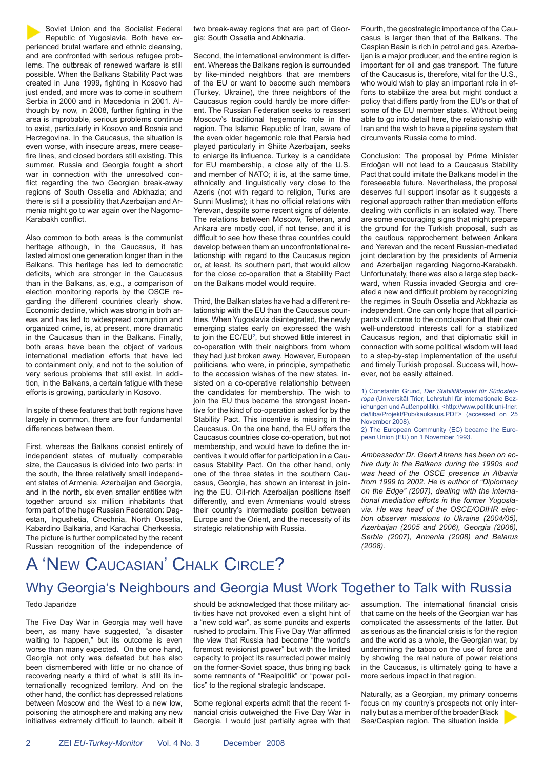Soviet Union and the Socialist Federal Republic of Yugoslavia. Both have experienced brutal warfare and ethnic cleansing, and are confronted with serious refugee problems. The outbreak of renewed warfare is still possible. When the Balkans Stability Pact was created in June 1999, fighting in Kosovo had just ended, and more was to come in southern Serbia in 2000 and in Macedonia in 2001. Although by now, in 2008, further fighting in the area is improbable, serious problems continue to exist, particularly in Kosovo and Bosnia and Herzegovina. In the Caucasus, the situation is even worse, with insecure areas, mere ceasefire lines, and closed borders still existing. This summer, Russia and Georgia fought a short war in connection with the unresolved conflict regarding the two Georgian break-away regions of South Ossetia and Abkhazia; and there is still a possibility that Azerbaijan and Armenia might go to war again over the Nagorno-Karabakh conflict.

Also common to both areas is the communist heritage although, in the Caucasus, it has lasted almost one generation longer than in the Balkans. This heritage has led to democratic deficits, which are stronger in the Caucasus than in the Balkans, as, e.g., a comparison of election monitoring reports by the OSCE regarding the different countries clearly show. Economic decline, which was strong in both areas and has led to widespread corruption and organized crime, is, at present, more dramatic in the Caucasus than in the Balkans. Finally, both areas have been the object of various international mediation efforts that have led to containment only, and not to the solution of very serious problems that still exist. In addition, in the Balkans, a certain fatigue with these efforts is growing, particularly in Kosovo.

In spite of these features that both regions have largely in common, there are four fundamental differences between them.

First, whereas the Balkans consist entirely of independent states of mutually comparable size, the Caucasus is divided into two parts: in the south, the three relatively small independent states of Armenia, Azerbaijan and Georgia, and in the north, six even smaller entities with together around six million inhabitants that form part of the huge Russian Federation: Dagestan, Ingushetia, Chechnia, North Ossetia, Kabardino Balkaria, and Karachai Cherkessia. The picture is further complicated by the recent Russian recognition of the independence of two break-away regions that are part of Georgia: South Ossetia and Abkhazia.

Second, the international environment is different. Whereas the Balkans region is surrounded by like-minded neighbors that are members of the EU or want to become such members (Turkey, Ukraine), the three neighbors of the Caucasus region could hardly be more different. The Russian Federation seeks to reassert Moscow's traditional hegemonic role in the region. The Islamic Republic of Iran, aware of the even older hegemonic role that Persia had played particularly in Shiite Azerbaijan, seeks to enlarge its influence. Turkey is a candidate for EU membership, a close ally of the U.S. and member of NATO; it is, at the same time, ethnically and linguistically very close to the Azeris (not with regard to religion, Turks are Sunni Muslims); it has no official relations with Yerevan, despite some recent signs of détente. The relations between Moscow, Teheran, and Ankara are mostly cool, if not tense, and it is difficult to see how these three countries could develop between them an unconfrontational relationship with regard to the Caucasus region or, at least, its southern part, that would allow for the close co-operation that a Stability Pact on the Balkans model would require.

Third, the Balkan states have had a different relationship with the EU than the Caucasus countries. When Yugoslavia disintegrated, the newly emerging states early on expressed the wish to join the EC/EU<sup>2</sup>, but showed little interest in co-operation with their neighbors from whom they had just broken away. However, European politicians, who were, in principle, sympathetic to the accession wishes of the new states, insisted on a co-operative relationship between the candidates for membership. The wish to join the EU thus became the strongest incentive for the kind of co-operation asked for by the Stability Pact. This incentive is missing in the Caucasus. On the one hand, the EU offers the Caucasus countries close co-operation, but not membership, and would have to define the incentives it would offer for participation in a Caucasus Stability Pact. On the other hand, only one of the three states in the southern Caucasus, Georgia, has shown an interest in joining the EU. Oil-rich Azerbaijan positions itself differently, and even Armenians would stress their country's intermediate position between Europe and the Orient, and the necessity of its strategic relationship with Russia.

Fourth, the geostrategic importance of the Caucasus is larger than that of the Balkans. The Caspian Basin is rich in petrol and gas. Azerbaijan is a major producer, and the entire region is important for oil and gas transport. The future of the Caucasus is, therefore, vital for the U.S., who would wish to play an important role in efforts to stabilize the area but might conduct a policy that differs partly from the EU's or that of some of the EU member states. Without being able to go into detail here, the relationship with Iran and the wish to have a pipeline system that circumvents Russia come to mind.

Conclusion: The proposal by Prime Minister Erdoğan will not lead to a Caucasus Stability Pact that could imitate the Balkans model in the foreseeable future. Nevertheless, the proposal deserves full support insofar as it suggests a regional approach rather than mediation efforts dealing with conflicts in an isolated way. There are some encouraging signs that might prepare the ground for the Turkish proposal, such as the cautious rapprochement between Ankara and Yerevan and the recent Russian-mediated joint declaration by the presidents of Armenia and Azerbaijan regarding Nagorno-Karabakh. Unfortunately, there was also a large step backward, when Russia invaded Georgia and created a new and difficult problem by recognizing the regimes in South Ossetia and Abkhazia as independent. One can only hope that all participants will come to the conclusion that their own well-understood interests call for a stabilized Caucasus region, and that diplomatic skill in connection with some political wisdom will lead to a step-by-step implementation of the useful and timely Turkish proposal. Success will, however, not be easily attained.

1) Constantin Grund, *Der Stabilitätspakt für Südosteuropa* (Universität Trier, Lehrstuhl für internationale Beziehungen und Außenpolitik), <http://www.politik.uni-trier. de/liba/Projekt/Pub/kaukasus.PDF> (accessed on 25 November 2008).

2) The European Community (EC) became the European Union (EU) on 1 November 1993.

*Ambassador Dr. Geert Ahrens has been on active duty in the Balkans during the 1990s and was head of the OSCE presence in Albania from 1999 to 2002. He is author of "Diplomacy on the Edge" (2007), dealing with the international mediation efforts in the former Yugoslavia. He was head of the OSCE/ODIHR election observer missions to Ukraine (2004/05), Azerbaijan (2005 and 2006), Georgia (2006), Serbia (2007), Armenia (2008) and Belarus (2008).*

## A 'New Caucasian' Chalk Circle?

### Why Georgia's Neighbours and Georgia Must Work Together to Talk with Russia

#### Tedo Japaridze

The Five Day War in Georgia may well have been, as many have suggested, "a disaster waiting to happen," but its outcome is even worse than many expected. On the one hand, Georgia not only was defeated but has also been dismembered with little or no chance of recovering nearly a third of what is still its internationally recognized territory. And on the other hand, the conflict has depressed relations between Moscow and the West to a new low, poisoning the atmosphere and making any new initiatives extremely difficult to launch, albeit it should be acknowledged that those military activities have not provoked even a slight hint of a "new cold war", as some pundits and experts rushed to proclaim. This Five Day War affirmed the view that Russia had become "the world's foremost revisionist power" but with the limited capacity to project its resurrected power mainly on the former-Soviet space, thus bringing back some remnants of "Realpolitik" or "power politics" to the regional strategic landscape.

Some regional experts admit that the recent financial crisis outweighed the Five Day War in Georgia. I would just partially agree with that assumption. The international financial crisis that came on the heels of the Georgian war has complicated the assessments of the latter. But as serious as the financial crisis is for the region and the world as a whole, the Georgian war, by undermining the taboo on the use of force and by showing the real nature of power relations in the Caucasus, is ultimately going to have a more serious impact in that region.

Naturally, as a Georgian, my primary concerns focus on my country's prospects not only internally but as a member of the broader Black Sea/Caspian region. The situation inside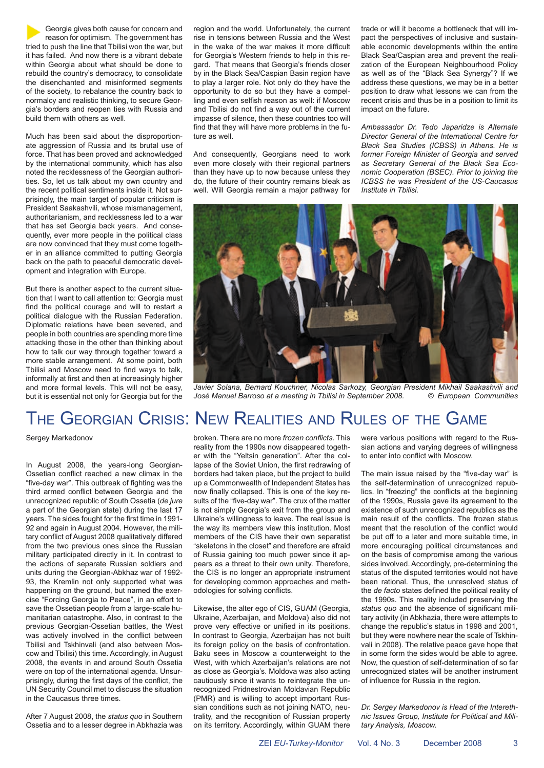Georgia gives both cause for concern and reason for optimism. The government has tried to push the line that Tbilisi won the war, but it has failed. And now there is a vibrant debate within Georgia about what should be done to rebuild the country's democracy, to consolidate the disenchanted and misinformed segments of the society, to rebalance the country back to normalcy and realistic thinking, to secure Georgia's borders and reopen ties with Russia and build them with others as well.

Much has been said about the disproportionate aggression of Russia and its brutal use of force. That has been proved and acknowledged by the international community, which has also noted the recklessness of the Georgian authorities. So, let us talk about my own country and the recent political sentiments inside it. Not surprisingly, the main target of popular criticism is President Saakashvili, whose mismanagement, authoritarianism, and recklessness led to a war that has set Georgia back years. And consequently, ever more people in the political class are now convinced that they must come together in an alliance committed to putting Georgia back on the path to peaceful democratic development and integration with Europe.

But there is another aspect to the current situation that I want to call attention to: Georgia must find the political courage and will to restart a political dialogue with the Russian Federation. Diplomatic relations have been severed, and people in both countries are spending more time attacking those in the other than thinking about how to talk our way through together toward a more stable arrangement. At some point, both Tbilisi and Moscow need to find ways to talk, informally at first and then at increasingly higher and more formal levels. This will not be easy, but it is essential not only for Georgia but for the

region and the world. Unfortunately, the current rise in tensions between Russia and the West in the wake of the war makes it more difficult for Georgia's Western friends to help in this regard. That means that Georgia's friends closer by in the Black Sea/Caspian Basin region have to play a larger role. Not only do they have the opportunity to do so but they have a compelling and even selfish reason as well: if Moscow and Tbilisi do not find a way out of the current impasse of silence, then these countries too will find that they will have more problems in the future as well.

And consequently, Georgians need to work even more closely with their regional partners than they have up to now because unless they do, the future of their country remains bleak as well. Will Georgia remain a major pathway for trade or will it become a bottleneck that will impact the perspectives of inclusive and sustainable economic developments within the entire Black Sea/Caspian area and prevent the realization of the European Neighbourhood Policy as well as of the "Black Sea Synergy"? If we address these questions, we may be in a better position to draw what lessons we can from the recent crisis and thus be in a position to limit its impact on the future.

*Ambassador Dr. Tedo Japaridze is Alternate Director General of the International Centre for Black Sea Studies (ICBSS) in Athens. He is former Foreign Minister of Georgia and served as Secretary General of the Black Sea Economic Cooperation (BSEC). Prior to joining the ICBSS he was President of the US-Caucasus Institute in Tbilisi.*



*Javier Solana, Bernard Kouchner, Nicolas Sarkozy, Georgian President Mikhail Saakashvili and José Manuel Barroso at a meeting in Tbilisi in September 2008. © European Communities*

### The Georgian Crisis: New Realities and Rules of the Game

Sergey Markedonov

In August 2008, the years-long Georgian-Ossetian conflict reached a new climax in the "five-day war". This outbreak of fighting was the third armed conflict between Georgia and the unrecognized republic of South Ossetia (*de jure* a part of the Georgian state) during the last 17 years. The sides fought for the first time in 1991- 92 and again in August 2004. However, the military conflict of August 2008 qualitatively differed from the two previous ones since the Russian military participated directly in it. In contrast to the actions of separate Russian soldiers and units during the Georgian-Abkhaz war of 1992- 93, the Kremlin not only supported what was happening on the ground, but named the exercise "Forcing Georgia to Peace", in an effort to save the Ossetian people from a large-scale humanitarian catastrophe. Also, in contrast to the previous Georgian-Ossetian battles, the West was actively involved in the conflict between Tbilisi and Tskhinvali (and also between Moscow and Tbilisi) this time. Accordingly, in August 2008, the events in and around South Ossetia were on top of the international agenda. Unsurprisingly, during the first days of the conflict, the UN Security Council met to discuss the situation in the Caucasus three times.

After 7 August 2008, the *status quo* in Southern Ossetia and to a lesser degree in Abkhazia was broken. There are no more *frozen conflicts*. This reality from the 1990s now disappeared together with the "Yeltsin generation". After the collapse of the Soviet Union, the first redrawing of borders had taken place, but the project to build up a Commonwealth of Independent States has now finally collapsed. This is one of the key results of the "five-day war". The crux of the matter is not simply Georgia's exit from the group and Ukraine's willingness to leave. The real issue is the way its members view this institution. Most members of the CIS have their own separatist "skeletons in the closet" and therefore are afraid of Russia gaining too much power since it appears as a threat to their own unity. Therefore, the CIS is no longer an appropriate instrument for developing common approaches and methodologies for solving conflicts.

Likewise, the alter ego of CIS, GUAM (Georgia, Ukraine, Azerbaijan, and Moldova) also did not prove very effective or unified in its positions. In contrast to Georgia, Azerbaijan has not built its foreign policy on the basis of confrontation. Baku sees in Moscow a counterweight to the West, with which Azerbaijan's relations are not as close as Georgia's. Moldova was also acting cautiously since it wants to reintegrate the unrecognized Pridnestrovian Moldavian Republic (PMR) and is willing to accept important Russian conditions such as not joining NATO, neutrality, and the recognition of Russian property on its territory. Accordingly, within GUAM there were various positions with regard to the Russian actions and varying degrees of willingness to enter into conflict with Moscow.

The main issue raised by the "five-day war" is the self-determination of unrecognized republics. In "freezing" the conflicts at the beginning of the 1990s, Russia gave its agreement to the existence of such unrecognized republics as the main result of the conflicts. The frozen status meant that the resolution of the conflict would be put off to a later and more suitable time, in more encouraging political circumstances and on the basis of compromise among the various sides involved. Accordingly, pre-determining the status of the disputed territories would not have been rational. Thus, the unresolved status of the *de facto* states defined the political reality of the 1990s. This reality included preserving the *status quo* and the absence of significant military activity (in Abkhazia, there were attempts to change the republic's status in 1998 and 2001, but they were nowhere near the scale of Tskhinvali in 2008). The relative peace gave hope that in some form the sides would be able to agree. Now, the question of self-determination of so far unrecognized states will be another instrument of influence for Russia in the region.

*Dr. Sergey Markedonov is Head of the Interethnic Issues Group, Institute for Political and Military Analysis, Moscow.*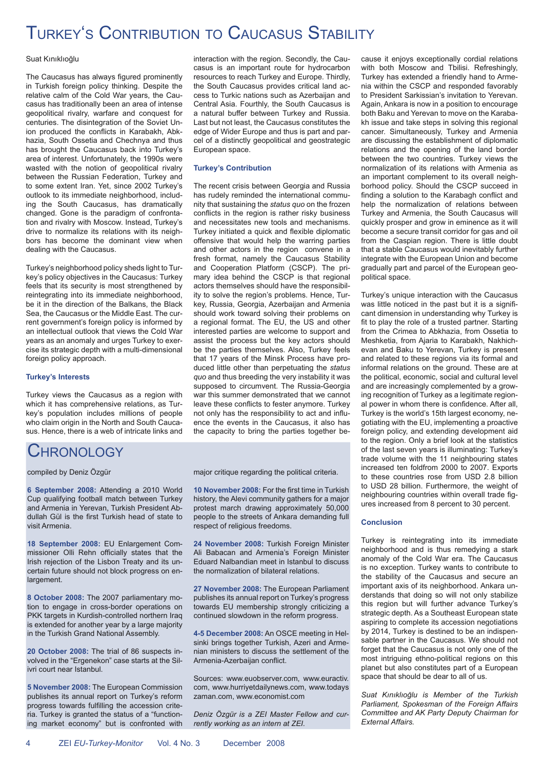### Turkey's Contribution to Caucasus Stability

#### Suat Kınıklıoğlu

The Caucasus has always figured prominently in Turkish foreign policy thinking. Despite the relative calm of the Cold War years, the Caucasus has traditionally been an area of intense geopolitical rivalry, warfare and conquest for centuries. The disintegration of the Soviet Union produced the conflicts in Karabakh, Abkhazia, South Ossetia and Chechnya and thus has brought the Caucasus back into Turkey's area of interest. Unfortunately, the 1990s were wasted with the notion of geopolitical rivalry between the Russian Federation, Turkey and to some extent Iran. Yet, since 2002 Turkey's outlook to its immediate neighborhood, including the South Caucasus, has dramatically changed. Gone is the paradigm of confrontation and rivalry with Moscow. Instead, Turkey's drive to normalize its relations with its neighbors has become the dominant view when dealing with the Caucasus.

Turkey's neighborhood policy sheds light to Turkey's policy objectives in the Caucasus: Turkey feels that its security is most strengthened by reintegrating into its immediate neighborhood, be it in the direction of the Balkans, the Black Sea, the Caucasus or the Middle East. The current government's foreign policy is informed by an intellectual outlook that views the Cold War years as an anomaly and urges Turkey to exercise its strategic depth with a multi-dimensional foreign policy approach.

#### **Turkey's Interests**

Turkey views the Caucasus as a region with which it has comprehensive relations, as Turkey's population includes millions of people who claim origin in the North and South Caucasus. Hence, there is a web of intricate links and

### *CHRONOLOGY*

#### compiled by Deniz Özgür

**6 September 2008:** Attending a 2010 World Cup qualifying football match between Turkey and Armenia in Yerevan, Turkish President Abdullah Gül is the first Turkish head of state to visit Armenia.

**18 September 2008:** EU Enlargement Commissioner Olli Rehn officially states that the Irish rejection of the Lisbon Treaty and its uncertain future should not block progress on enlargement.

**8 October 2008:** The 2007 parliamentary motion to engage in cross-border operations on PKK targets in Kurdish-controlled northern Iraq is extended for another year by a large majority in the Turkish Grand National Assembly.

**20 October 2008:** The trial of 86 suspects involved in the "Ergenekon" case starts at the Silivri court near Istanbul.

**5 November 2008:** The European Commission publishes its annual report on Turkey's reform progress towards fulfilling the accession criteria. Turkey is granted the status of a "functioning market economy" but is confronted with interaction with the region. Secondly, the Caucasus is an important route for hydrocarbon resources to reach Turkey and Europe. Thirdly, the South Caucasus provides critical land access to Turkic nations such as Azerbaijan and Central Asia. Fourthly, the South Caucasus is a natural buffer between Turkey and Russia. Last but not least, the Caucasus constitutes the edge of Wider Europe and thus is part and parcel of a distinctly geopolitical and geostrategic European space.

#### **Turkey's Contribution**

The recent crisis between Georgia and Russia has rudely reminded the international community that sustaining the *status quo* on the frozen conflicts in the region is rather risky business and necessitates new tools and mechanisms. Turkey initiated a quick and flexible diplomatic offensive that would help the warring parties and other actors in the region convene in a fresh format, namely the Caucasus Stability and Cooperation Platform (CSCP). The primary idea behind the CSCP is that regional actors themselves should have the responsibility to solve the region's problems. Hence, Turkey, Russia, Georgia, Azerbaijan and Armenia should work toward solving their problems on a regional format. The EU, the US and other interested parties are welcome to support and assist the process but the key actors should be the parties themselves. Also, Turkey feels that 17 years of the Minsk Process have produced little other than perpetuating the *status quo* and thus breeding the very instability it was supposed to circumvent. The Russia-Georgia war this summer demonstrated that we cannot leave these conflicts to fester anymore. Turkey not only has the responsibility to act and influence the events in the Caucasus, it also has the capacity to bring the parties together be-

major critique regarding the political criteria.

**10 November 2008:** For the first time in Turkish history, the Alevi community gathers for a major protest march drawing approximately 50,000 people to the streets of Ankara demanding full respect of religious freedoms.

**24 November 2008:** Turkish Foreign Minister Ali Babacan and Armenia's Foreign Minister Eduard Nalbandian meet in Istanbul to discuss the normalization of bilateral relations.

**27 November 2008:** The European Parliament publishes its annual report on Turkey's progress towards EU membership strongly criticizing a continued slowdown in the reform progress.

**4-5 December 2008:** An OSCE meeting in Helsinki brings together Turkish, Azeri and Armenian ministers to discuss the settlement of the Armenia-Azerbaijan conflict.

Sources: www.euobserver.com, www.euractiv. com, www.hurriyetdailynews.com, www.todays zaman.com, www.economist.com

*Deniz Özgür is a ZEI Master Fellow and currently working as an intern at ZEI.*

cause it enjoys exceptionally cordial relations with both Moscow and Tbilisi. Refreshingly, Turkey has extended a friendly hand to Armenia within the CSCP and responded favorably to President Sarkissian's invitation to Yerevan. Again, Ankara is now in a position to encourage both Baku and Yerevan to move on the Karabakh issue and take steps in solving this regional cancer. Simultaneously, Turkey and Armenia are discussing the establishment of diplomatic relations and the opening of the land border between the two countries. Turkey views the normalization of its relations with Armenia as an important complement to its overall neighborhood policy. Should the CSCP succeed in finding a solution to the Karabagh conflict and help the normalization of relations between Turkey and Armenia, the South Caucasus will quickly prosper and grow in eminence as it will become a secure transit corridor for gas and oil from the Caspian region. There is little doubt that a stable Caucasus would inevitably further integrate with the European Union and become gradually part and parcel of the European geopolitical space.

Turkey's unique interaction with the Caucasus was little noticed in the past but it is a significant dimension in understanding why Turkey is fit to play the role of a trusted partner. Starting from the Crimea to Abkhazia, from Ossetia to Meshketia, from Ajaria to Karabakh, Nakhichevan and Baku to Yerevan, Turkey is present and related to these regions via its formal and informal relations on the ground. These are at the political, economic, social and cultural level and are increasingly complemented by a growing recognition of Turkey as a legitimate regional power in whom there is confidence. After all, Turkey is the world's 15th largest economy, negotiating with the EU, implementing a proactive foreign policy, and extending development aid to the region. Only a brief look at the statistics of the last seven years is illuminating: Turkey's trade volume with the 11 neighbouring states increased ten foldfrom 2000 to 2007. Exports to these countries rose from USD 2.8 billion to USD 28 billion. Furthermore, the weight of neighbouring countries within overall trade figures increased from 8 percent to 30 percent.

#### **Conclusion**

Turkey is reintegrating into its immediate neighborhood and is thus remedying a stark anomaly of the Cold War era. The Caucasus is no exception. Turkey wants to contribute to the stability of the Caucasus and secure an important axis of its neighborhood. Ankara understands that doing so will not only stabilize this region but will further advance Turkey's strategic depth. As a Southeast European state aspiring to complete its accession negotiations by 2014, Turkey is destined to be an indispensable partner in the Caucasus. We should not forget that the Caucasus is not only one of the most intriguing ethno-political regions on this planet but also constitutes part of a European space that should be dear to all of us.

*Suat Kınıklıoğlu is Member of the Turkish Parliament, Spokesman of the Foreign Affairs Committee and AK Party Deputy Chairman for External Affairs.*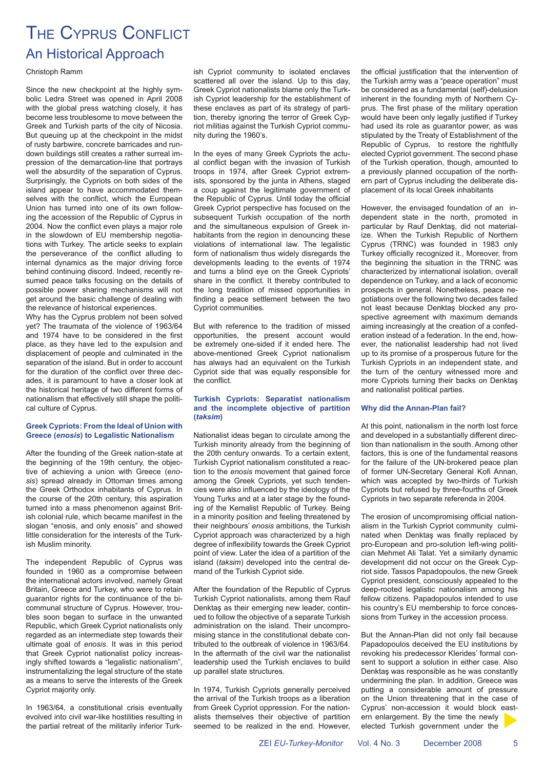### THE CYPRUS CONFLICT An Historical Approach

#### Christoph Ramm

Since the new checkpoint at the highly symbolic Ledra Street was opened in April 2008 with the global press watching closely, it has become less troublesome to move between the Greek and Turkish parts of the city of Nicosia. But queuing up at the checkpoint in the midst of rusty barbwire, concrete barricades and rundown buildings still creates a rather surreal impression of the demarcation-line that portrays well the absurdity of the separation of Cyprus. Surprisingly, the Cypriots on both sides of the island appear to have accommodated themselves with the conflict, which the European Union has turned into one of its own following the accession of the Republic of Cyprus in 2004. Now the conflict even plays a major role in the slowdown of EU membership negotiations with Turkey. The article seeks to explain the perseverance of the conflict alluding to internal dynamics as the major driving force behind continuing discord. Indeed, recently resumed peace talks focusing on the details of possible power sharing mechanisms will not get around the basic challenge of dealing with the relevance of historical experiences.

Why has the Cyprus problem not been solved yet? The traumata of the violence of 1963/64 and 1974 have to be considered in the first place, as they have led to the expulsion and displacement of people and culminated in the separation of the island. But in order to account for the duration of the conflict over three decades, it is paramount to have a closer look at the historical heritage of two different forms of nationalism that effectively still shape the political culture of Cyprus.

#### **Greek Cypriots: From the Ideal of Union with Greece (***enosis***) to Legalistic Nationalism**

After the founding of the Greek nation-state at the beginning of the 19th century, the objective of achieving a union with Greece (*enosis*) spread already in Ottoman times among the Greek Orthodox inhabitants of Cyprus. In the course of the 20th century, this aspiration turned into a mass phenomenon against British colonial rule, which became manifest in the slogan "enosis, and only enosis" and showed little consideration for the interests of the Turkish Muslim minority.

The independent Republic of Cyprus was founded in 1960 as a compromise between the international actors involved, namely Great Britain, Greece and Turkey, who were to retain guarantor rights for the continuance of the bicommunal structure of Cyprus. However, troubles soon began to surface in the unwanted Republic, which Greek Cypriot nationalists only regarded as an intermediate step towards their ultimate goal of *enosis*. It was in this period that Greek Cypriot nationalist policy increasingly shifted towards a "legalistic nationalism", instrumentalizing the legal structure of the state as a means to serve the interests of the Greek Cypriot majority only.

In 1963/64, a constitutional crisis eventually evolved into civil war-like hostilities resulting in the partial retreat of the militarily inferior Turkish Cypriot community to isolated enclaves scattered all over the island. Up to this day, Greek Cypriot nationalists blame only the Turkish Cypriot leadership for the establishment of these enclaves as part of its strategy of partition, thereby ignoring the terror of Greek Cypriot militias against the Turkish Cypriot community during the 1960's.

In the eyes of many Greek Cypriots the actual conflict began with the invasion of Turkish troops in 1974, after Greek Cypriot extremists, sponsored by the junta in Athens, staged a coup against the legitimate government of the Republic of Cyprus. Until today the official Greek Cypriot perspective has focused on the subsequent Turkish occupation of the north and the simultaneous expulsion of Greek inhabitants from the region in denouncing these violations of international law. The legalistic form of nationalism thus widely disregards the developments leading to the events of 1974 and turns a blind eye on the Greek Cypriots' share in the conflict. It thereby contributed to the long tradition of missed opportunities in finding a peace settlement between the two Cypriot communities.

But with reference to the tradition of missed opportunities, the present account would be extremely one-sided if it ended here. The above-mentioned Greek Cypriot nationalism has always had an equivalent on the Turkish Cypriot side that was equally responsible for the conflict.

#### **Turkish Cypriots: Separatist nationalism and the incomplete objective of partition (***taksim***)**

Nationalist ideas began to circulate among the Turkish minority already from the beginning of the 20th century onwards. To a certain extent, Turkish Cypriot nationalism constituted a reaction to the *enosis* movement that gained force among the Greek Cypriots, yet such tendencies were also influenced by the ideology of the Young Turks and at a later stage by the founding of the Kemalist Republic of Turkey. Being in a minority position and feeling threatened by their neighbours' *enosis* ambitions, the Turkish Cypriot approach was characterized by a high degree of inflexibility towards the Greek Cypriot point of view. Later the idea of a partition of the island (*taksim*) developed into the central demand of the Turkish Cypriot side.

After the foundation of the Republic of Cyprus Turkish Cypriot nationalists, among them Rauf Denktaş as their emerging new leader, continued to follow the objective of a separate Turkish administration on the island. Their uncompromising stance in the constitutional debate contributed to the outbreak of violence in 1963/64. In the aftermath of the civil war the nationalist leadership used the Turkish enclaves to build up parallel state structures.

In 1974, Turkish Cypriots generally perceived the arrival of the Turkish troops as a liberation from Greek Cypriot oppression. For the nationalists themselves their objective of partition seemed to be realized in the end. However, the official justification that the intervention of the Turkish army was a "peace operation" must be considered as a fundamental (self)-delusion inherent in the founding myth of Northern Cyprus. The first phase of the military operation would have been only legally justified if Turkey had used its role as quarantor power, as was stipulated by the Treaty of Establishment of the Republic of Cyprus, to restore the rightfully elected Cypriot government. The second phase of the Turkish operation, though, amounted to a previously planned occupation of the northern part of Cyprus including the deliberate displacement of its local Greek inhabitants

However, the envisaged foundation of an independent state in the north, promoted in particular by Rauf Denktaş, did not materialize. When the Turkish Republic of Northern Cyprus (TRNC) was founded in 1983 only Turkey officially recognized it., Moreover, from the beginning the situation in the TRNC was characterized by international isolation, overall dependence on Turkey, and a lack of economic prospects in general. Nonetheless, peace negotiations over the following two decades failed not least because Denktaş blocked any prospective agreement with maximum demands aiming increasingly at the creation of a confederation instead of a federation. In the end, however, the nationalist leadership had not lived up to its promise of a prosperous future for the Turkish Cypriots in an independent state, and the turn of the century witnessed more and more Cypriots turning their backs on Denktaş and nationalist political parties.

#### **Why did the Annan-Plan fail?**

At this point, nationalism in the north lost force and developed in a substantially different direction than nationalism in the south. Among other factors, this is one of the fundamental reasons for the failure of the UN-brokered peace plan of former UN-Secretary General Kofi Annan, which was accepted by two-thirds of Turkish Cypriots but refused by three-fourths of Greek Cypriots in two separate referenda in 2004.

The erosion of uncompromising official nationalism in the Turkish Cypriot community culminated when Denktaş was finally replaced by pro-European and pro-solution left-wing politician Mehmet Ali Talat. Yet a similarly dynamic development did not occur on the Greek Cypriot side. Tassos Papadopoulos, the new Greek Cypriot president, consciously appealed to the deep-rooted legalistic nationalism among his fellow citizens. Papadopoulos intended to use his country's EU membership to force concessions from Turkey in the accession process.

But the Annan-Plan did not only fail because Papadopoulos deceived the EU institutions by revoking his predecessor Klerides' formal consent to support a solution in either case. Also Denktaş was responsible as he was constantly undermining the plan. In addition, Greece was putting a considerable amount of pressure on the Union threatening that in the case of Cyprus' non-accession it would block eastern enlargement. By the time the newly elected Turkish government under the

ZEI *EU-Turkey-Monitor* Vol. 4 No. 3 December 2008 5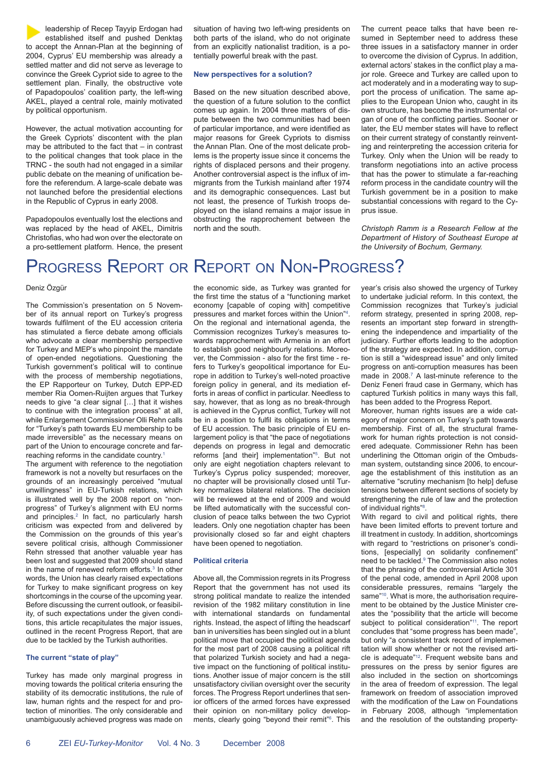leadership of Recep Tayyip Erdogan had established itself and pushed Denktaş to accept the Annan-Plan at the beginning of 2004, Cyprus' EU membership was already a settled matter and did not serve as leverage to convince the Greek Cypriot side to agree to the settlement plan. Finally, the obstructive vote of Papadopoulos' coalition party, the left-wing AKEL, played a central role, mainly motivated by political opportunism.

However, the actual motivation accounting for the Greek Cypriots' discontent with the plan may be attributed to the fact that – in contrast to the political changes that took place in the TRNC - the south had not engaged in a similar public debate on the meaning of unification before the referendum. A large-scale debate was not launched before the presidential elections in the Republic of Cyprus in early 2008.

Papadopoulos eventually lost the elections and was replaced by the head of AKEL, Dimitris Christofias, who had won over the electorate on a pro-settlement platform. Hence, the present

situation of having two left-wing presidents on both parts of the island, who do not originate from an explicitly nationalist tradition, is a potentially powerful break with the past.

#### **New perspectives for a solution?**

Based on the new situation described above, the question of a future solution to the conflict comes up again. In 2004 three matters of dispute between the two communities had been of particular importance, and were identified as major reasons for Greek Cypriots to dismiss the Annan Plan. One of the most delicate problems is the property issue since it concerns the rights of displaced persons and their progeny. Another controversial aspect is the influx of immigrants from the Turkish mainland after 1974 and its demographic consequences. Last but not least, the presence of Turkish troops deployed on the island remains a major issue in obstructing the rapprochement between the north and the south.

The current peace talks that have been resumed in September need to address these three issues in a satisfactory manner in order to overcome the division of Cyprus. In addition, external actors' stakes in the conflict play a major role. Greece and Turkey are called upon to act moderately and in a moderating way to support the process of unification. The same applies to the European Union who, caught in its own structure, has become the instrumental organ of one of the conflicting parties. Sooner or later, the EU member states will have to reflect on their current strategy of constantly reinventing and reinterpreting the accession criteria for Turkey. Only when the Union will be ready to transform negotiations into an active process that has the power to stimulate a far-reaching reform process in the candidate country will the Turkish government be in a position to make substantial concessions with regard to the Cyprus issue.

*Christoph Ramm is a Research Fellow at the Department of History of Southeast Europe at the University of Bochum, Germany.*

### Progress Report or Report on Non-Progress?

#### Deniz Özgür

The Commission's presentation on 5 November of its annual report on Turkey's progress towards fulfilment of the EU accession criteria has stimulated a fierce debate among officials who advocate a clear membership perspective for Turkey and MEP's who pinpoint the mandate of open-ended negotiations. Questioning the Turkish government's political will to continue with the process of membership negotiations. the EP Rapporteur on Turkey, Dutch EPP-ED member Ria Oomen-Ruijten argues that Turkey needs to give "a clear signal […] that it wishes to continue with the integration process" at all, while Enlargement Commissioner Olli Rehn calls for "Turkey's path towards EU membership to be made irreversible" as the necessary means on part of the Union to encourage concrete and farreaching reforms in the candidate country.1

The argument with reference to the negotiation framework is not a novelty but resurfaces on the grounds of an increasingly perceived "mutual unwillingness" in EU-Turkish relations, which is illustrated well by the 2008 report on "nonprogress" of Turkey's alignment with EU norms and principles.<sup>2</sup> In fact, no particularly harsh criticism was expected from and delivered by the Commission on the grounds of this year's severe political crisis, although Commissioner Rehn stressed that another valuable year has been lost and suggested that 2009 should stand in the name of renewed reform efforts.<sup>3</sup> In other words, the Union has clearly raised expectations for Turkey to make significant progress on key shortcomings in the course of the upcoming year. Before discussing the current outlook, or feasibility, of such expectations under the given conditions, this article recapitulates the major issues, outlined in the recent Progress Report, that are due to be tackled by the Turkish authorities.

#### **The current "state of play"**

Turkey has made only marginal progress in moving towards the political criteria ensuring the stability of its democratic institutions, the rule of law, human rights and the respect for and protection of minorities. The only considerable and unambiguously achieved progress was made on the economic side, as Turkey was granted for the first time the status of a "functioning market economy [capable of coping with] competitive pressures and market forces within the Union"<sup>4</sup> . On the regional and international agenda, the Commission recognizes Turkey's measures towards rapprochement with Armenia in an effort to establish good neighbourly relations. Moreover, the Commission - also for the first time - refers to Turkey's geopolitical importance for Europe in addition to Turkey's well-noted proactive foreign policy in general, and its mediation efforts in areas of conflict in particular. Needless to say, however, that as long as no break-through is achieved in the Cyprus conflict, Turkey will not be in a position to fulfil its obligations in terms of EU accession. The basic principle of EU enlargement policy is that "the pace of negotiations depends on progress in legal and democratic reforms [and their] implementation"5 . But not only are eight negotiation chapters relevant to Turkey's Cyprus policy suspended; moreover, no chapter will be provisionally closed until Turkey normalizes bilateral relations. The decision will be reviewed at the end of 2009 and would be lifted automatically with the successful conclusion of peace talks between the two Cypriot leaders. Only one negotiation chapter has been provisionally closed so far and eight chapters have been opened to negotiation.

#### **Political criteria**

Above all, the Commission regrets in its Progress Report that the government has not used its strong political mandate to realize the intended revision of the 1982 military constitution in line with international standards on fundamental rights. Instead, the aspect of lifting the headscarf ban in universities has been singled out in a blunt political move that occupied the political agenda for the most part of 2008 causing a political rift that polarized Turkish society and had a negative impact on the functioning of political institutions. Another issue of major concern is the still unsatisfactory civilian oversight over the security forces. The Progress Report underlines that senior officers of the armed forces have expressed their opinion on non-military policy developments, clearly going "beyond their remit"<sup>6</sup>. This year's crisis also showed the urgency of Turkey to undertake judicial reform. In this context, the Commission recognizes that Turkey's judicial reform strategy, presented in spring 2008, represents an important step forward in strengthening the independence and impartiality of the judiciary. Further efforts leading to the adoption of the strategy are expected. In addition, corruption is still a "widespread issue" and only limited progress on anti-corruption measures has been made in  $2008$ .<sup>7</sup> A last-minute reference to the Deniz Feneri fraud case in Germany, which has captured Turkish politics in many ways this fall, has been added to the Progress Report.

Moreover, human rights issues are a wide category of major concern on Turkey's path towards membership. First of all, the structural framework for human rights protection is not considered adequate. Commissioner Rehn has been underlining the Ottoman origin of the Ombudsman system, outstanding since 2006, to encourage the establishment of this institution as an alternative "scrutiny mechanism [to help] defuse tensions between different sections of society by strengthening the rule of law and the protection of individual rights"<sup>8</sup>.

With regard to civil and political rights, there have been limited efforts to prevent torture and ill treatment in custody. In addition, shortcomings with regard to "restrictions on prisoner's conditions, [especially] on solidarity confinement" need to be tackled.<sup>9</sup> The Commission also notes that the phrasing of the controversial Article 301 of the penal code, amended in April 2008 upon considerable pressures, remains "largely the same"<sup>10</sup>. What is more, the authorisation requirement to be obtained by the Justice Minister creates the "possibility that the article will become subject to political consideration"<sup>11</sup>. The report concludes that "some progress has been made", but only "a consistent track record of implementation will show whether or not the revised article is adequate"12. Frequent website bans and pressures on the press by senior figures are also included in the section on shortcomings in the area of freedom of expression. The legal framework on freedom of association improved with the modification of the Law on Foundations in February 2008, although "implementation and the resolution of the outstanding property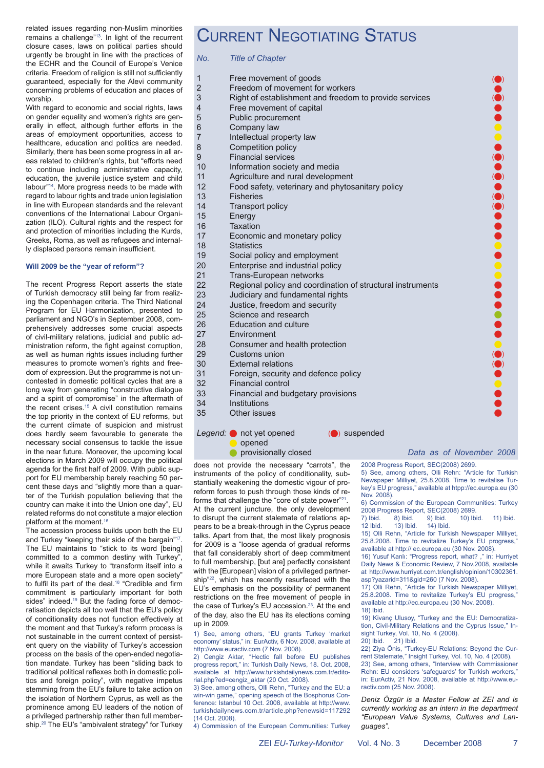related issues regarding non-Muslim minorities remains a challenge"13. In light of the recurrent closure cases, laws on political parties should urgently be brought in line with the practices of the ECHR and the Council of Europe's Venice criteria. Freedom of religion is still not sufficiently guaranteed, especially for the Alevi community concerning problems of education and places of worship.

With regard to economic and social rights, laws on gender equality and women's rights are generally in effect, although further efforts in the areas of employment opportunities, access to healthcare, education and politics are needed. Similarly, there has been some progress in all areas related to children's rights, but "efforts need to continue including administrative capacity, education, the juvenile justice system and child labour"14. More progress needs to be made with regard to labour rights and trade union legislation in line with European standards and the relevant conventions of the International Labour Organization (ILO). Cultural rights and the respect for and protection of minorities including the Kurds, Greeks, Roma, as well as refugees and internally displaced persons remain insufficient.

#### **Will 2009 be the "year of reform"?**

The recent Progress Report asserts the state of Turkish democracy still being far from realizing the Copenhagen criteria. The Third National Program for EU Harmonization, presented to parliament and NGO's in September 2008, comprehensively addresses some crucial aspects of civil-military relations, judicial and public administration reform, the fight against corruption, as well as human rights issues including further measures to promote women's rights and freedom of expression. But the programme is not uncontested in domestic political cycles that are a long way from generating "constructive dialogue and a spirit of compromise" in the aftermath of the recent crises.<sup>15</sup> A civil constitution remains the top priority in the context of EU reforms, but the current climate of suspicion and mistrust does hardly seem favourable to generate the necessary social consensus to tackle the issue in the near future. Moreover, the upcoming local elections in March 2009 will occupy the political agenda for the first half of 2009. With public support for EU membership barely reaching 50 percent these days and "slightly more than a quarter of the Turkish population believing that the country can make it into the Union one day", EU related reforms do not constitute a major election platform at the moment.16

The accession process builds upon both the EU and Turkey "keeping their side of the bargain"17. The EU maintains to "stick to its word [being] committed to a common destiny with Turkey", while it awaits Turkey to "transform itself into a more European state and a more open society" to fulfil its part of the deal.<sup>18</sup> "Credible and firm commitment is particularly important for both sides" indeed.<sup>19</sup> But the fading force of democratisation depicts all too well that the EU's policy of conditionality does not function effectively at the moment and that Turkey's reform process is not sustainable in the current context of persistent query on the viability of Turkey's accession process on the basis of the open-ended negotiation mandate. Turkey has been "sliding back to traditional political reflexes both in domestic politics and foreign policy", with negative impetus stemming from the EU's failure to take action on the isolation of Northern Cyprus, as well as the prominence among EU leaders of the notion of a privileged partnership rather than full membership.20 The EU's "ambivalent strategy" for Turkey

### **CURRENT NEGOTIATING STATUS**

*No. Title of Chapter*

| 1              | Free movement of goods                                                                         |                                                              |  |
|----------------|------------------------------------------------------------------------------------------------|--------------------------------------------------------------|--|
| $\overline{2}$ | Freedom of movement for workers                                                                |                                                              |  |
| 3              | Right of establishment and freedom to provide services                                         |                                                              |  |
| $\overline{4}$ | Free movement of capital                                                                       |                                                              |  |
| 5              | Public procurement                                                                             |                                                              |  |
| 6              | Company law                                                                                    |                                                              |  |
| $\overline{7}$ | Intellectual property law                                                                      |                                                              |  |
| 8              | Competition policy                                                                             |                                                              |  |
| 9              | <b>Financial services</b>                                                                      |                                                              |  |
| 10             | Information society and media                                                                  |                                                              |  |
| 11             | Agriculture and rural development                                                              |                                                              |  |
| 12             | Food safety, veterinary and phytosanitary policy                                               |                                                              |  |
| 13             | <b>Fisheries</b>                                                                               |                                                              |  |
| 14             | Transport policy                                                                               | $\begin{array}{c} \bullet \\ \bullet \\ \bullet \end{array}$ |  |
| 15             | Energy                                                                                         |                                                              |  |
| 16             | <b>Taxation</b>                                                                                |                                                              |  |
| 17             | Economic and monetary policy                                                                   |                                                              |  |
| 18             | <b>Statistics</b>                                                                              |                                                              |  |
| 19             | Social policy and employment                                                                   |                                                              |  |
| 20             | Enterprise and industrial policy                                                               |                                                              |  |
| 21             | Trans-European networks                                                                        |                                                              |  |
| 22             | Regional policy and coordination of structural instruments<br>Judiciary and fundamental rights |                                                              |  |
| 23             |                                                                                                |                                                              |  |
| 24             | Justice, freedom and security                                                                  |                                                              |  |
| 25             | Science and research                                                                           |                                                              |  |
| 26             | <b>Education and culture</b>                                                                   |                                                              |  |
| 27             | Environment                                                                                    |                                                              |  |
| 28             | Consumer and health protection                                                                 |                                                              |  |
| 29             | Customs union                                                                                  |                                                              |  |
| 30             | <b>External relations</b>                                                                      | $\ddot{\bullet}$                                             |  |
| 31             | Foreign, security and defence policy                                                           |                                                              |  |
| 32             | <b>Financial control</b>                                                                       |                                                              |  |
| 33             | Financial and budgetary provisions                                                             |                                                              |  |
| 34             | Institutions                                                                                   |                                                              |  |
| 35             | Other issues                                                                                   |                                                              |  |
|                | Legend: not yet opened<br>(O) suspended                                                        |                                                              |  |
|                | opened                                                                                         |                                                              |  |
|                | provisionally closed                                                                           | Data as of November 2008                                     |  |
|                |                                                                                                |                                                              |  |

does not provide the necessary "carrots", the instruments of the policy of conditionality, substantially weakening the domestic vigour of proreform forces to push through those kinds of reforms that challenge the "core of state power"<sup>21</sup>. At the current juncture, the only development to disrupt the current stalemate of relations appears to be a break-through in the Cyprus peace talks. Apart from that, the most likely prognosis for 2009 is a "loose agenda of gradual reforms that fall considerably short of deep commitment to full membership, [but are] perfectly consistent with the [European] vision of a privileged partnership"22, which has recently resurfaced with the EU's emphasis on the possibility of permanent restrictions on the free movement of people in the case of Turkey's EU accession.<sup>23</sup>. At the end of the day, also the EU has its elections coming up in 2009.

1) See, among others, "EU grants Turkey 'market economy' status," in: EurActiv, 6 Nov. 2008, available at http://www.euractiv.com (7 Nov. 2008).

2) Cengiz Aktar, "Hectic fall before EU publishes progress report," in: Turkish Daily News, 18. Oct. 2008, available at http://www.turkishdailynews.com.tr/editorial.php?ed=cengiz\_aktar (20 Oct. 2008).

3) See, among others, Olli Rehn, "Turkey and the EU: a win-win game," opening speech of the Bosphorus Conference: Istanbul 10 Oct. 2008, available at http://www. turkishdailynews.com.tr/article.php?enewsid=117292 (14 Oct. 2008).

4) Commission of the European Communities: Turkey

2008 Progress Report, SEC(2008) 2699. 5) See, among others, Olli Rehn: "Article for Turkish Newspaper Milliyet, 25.8.2008. Time to revitalise Tur-

key's EU progress," available at htpp://ec.europa.eu (30) Nov. 2008). 6) Commission of the European Communities: Turkey 2008 Progress Report, SEC(2008) 2699.

7) Ibid. 8) Ibid. 9) Ibid. 10) Ibid. 11) Ibid. 12 Ibid. 13) Ibid. 14) Ibid.

15) Olli Rehn, "Article for Turkish Newspaper Milliyet, 25.8.2008. Time to revitalize Turkey's EU progress, available at http:// ec.europa.eu (30 Nov. 2008).

16) Yusuf Kanlı: "Progress report, what? ," in: Hurriyet Daily News & Economic Review, 7 Nov.2008, available at http://www.hurriyet.com.tr/english/opinion/10302361. asp?yazarid=311&gid=260 (7 Nov. 2008).

17) Olli Rehn, "Article for Turkish Newspaper Milliyet 25.8.2008. Time to revitalize Turkey's EU progress," available at http://ec.europa.eu (30 Nov. 2008). 18) Ibid.

19) Kivanç Ulusoy, "Turkey and the EU: Democratization, Civil-Military Relations and the Cyprus Issue," Insight Turkey, Vol. 10, No. 4 (2008).

20) Ibid. 21) Ibid.

22) Ziya Önis, "Turkey-EU Relations: Beyond the Current Stalemate," Insight Turkey, Vol. 10, No. 4 (2008). 23) See, among others, "Interview with Commissioner Rehn: EU considers 'safeguards' for Turkish workers," in: EurActiv, 21 Nov. 2008, available at http://www.euractiv.com (25 Nov. 2008).

*Deniz Özgür is a Master Fellow at ZEI and is currently working as an intern in the department "European Value Systems, Cultures and Languages".*